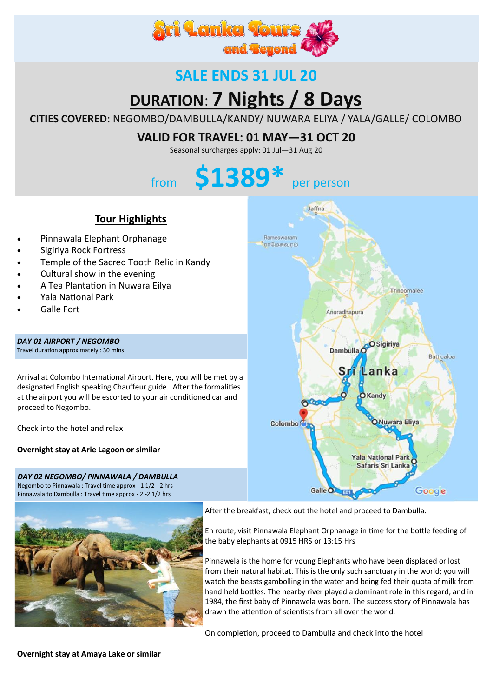

# **SALE ENDS 31 JUL 20**

# **DURATION**: **7 Nights / 8 Days**

**CITIES COVERED**: NEGOMBO/DAMBULLA/KANDY/ NUWARA ELIYA / YALA/GALLE/ COLOMBO

# **VALID FOR TRAVEL: 01 MAY—31 OCT 20**

Seasonal surcharges apply: 01 Jul—31 Aug 20

# from **\$1389\*** per person

## **Tour Highlights**

- Pinnawala Elephant Orphanage
- Sigiriya Rock Fortress
- Temple of the Sacred Tooth Relic in Kandy
- Cultural show in the evening
- A Tea Plantation in Nuwara Eilya
- Yala National Park
- Galle Fort

*DAY 01 AIRPORT / NEGOMBO*  Travel duration approximately : 30 mins

Arrival at Colombo International Airport. Here, you will be met by a designated English speaking Chauffeur guide. After the formalities at the airport you will be escorted to your air conditioned car and proceed to Negombo.

Check into the hotel and relax

**Overnight stay at Arie Lagoon or similar**

*DAY 02 NEGOMBO/ PINNAWALA / DAMBULLA*  Negombo to Pinnawala : Travel time approx - 1 1/2 - 2 hrs Pinnawala to Dambulla : Travel time approx - 2 -2 1/2 hrs



After the breakfast, check out the hotel and proceed to Dambulla.

En route, visit Pinnawala Elephant Orphanage in time for the bottle feeding of the baby elephants at 0915 HRS or 13:15 Hrs

Pinnawela is the home for young Elephants who have been displaced or lost from their natural habitat. This is the only such sanctuary in the world; you will watch the beasts gambolling in the water and being fed their quota of milk from hand held bottles. The nearby river played a dominant role in this regard, and in 1984, the first baby of Pinnawela was born. The success story of Pinnawala has drawn the attention of scientists from all over the world.

On completion, proceed to Dambulla and check into the hotel



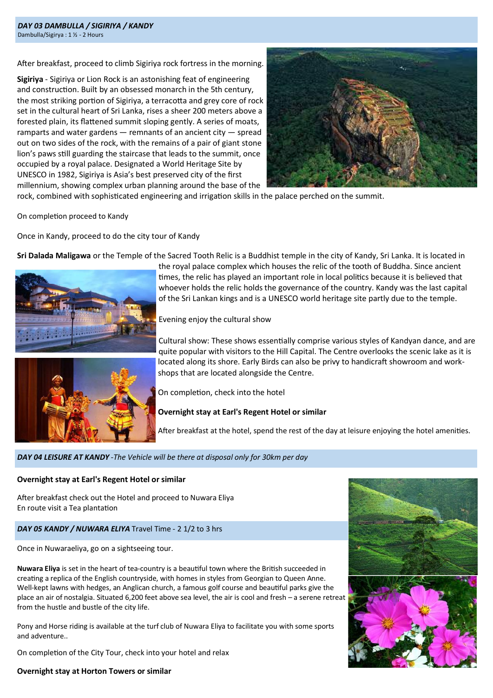After breakfast, proceed to climb Sigiriya rock fortress in the morning.

**Sigiriya** - Sigiriya or Lion Rock is an astonishing feat of engineering and construction. Built by an obsessed monarch in the 5th century, the most striking portion of Sigiriya, a terracotta and grey core of rock set in the cultural heart of Sri Lanka, rises a sheer 200 meters above a forested plain, its flattened summit sloping gently. A series of moats, ramparts and water gardens  $-$  remnants of an ancient city  $-$  spread out on two sides of the rock, with the remains of a pair of giant stone lion's paws still guarding the staircase that leads to the summit, once occupied by a royal palace. Designated a World Heritage Site by UNESCO in 1982, Sigiriya is Asia's best preserved city of the first millennium, showing complex urban planning around the base of the



rock, combined with sophisticated engineering and irrigation skills in the palace perched on the summit.

On completion proceed to Kandy

Once in Kandy, proceed to do the city tour of Kandy

**Sri Dalada Maligawa** or the Temple of the Sacred Tooth Relic is a Buddhist temple in the city of Kandy, Sri Lanka. It is located in



the royal palace complex which houses the relic of the tooth of Buddha. Since ancient times, the relic has played an important role in local politics because it is believed that whoever holds the relic holds the governance of the country. Kandy was the last capital of the Sri Lankan kings and is a UNESCO world heritage site partly due to the temple.

Evening enjoy the cultural show



Cultural show: These shows essentially comprise various styles of Kandyan dance, and are quite popular with visitors to the Hill Capital. The Centre overlooks the scenic lake as it is located along its shore. Early Birds can also be privy to handicraft showroom and workshops that are located alongside the Centre.

On completion, check into the hotel

#### **Overnight stay at Earl's Regent Hotel or similar**

After breakfast at the hotel, spend the rest of the day at leisure enjoying the hotel amenities.

#### *DAY 04 LEISURE AT KANDY -The Vehicle will be there at disposal only for 30km per day*

#### **Overnight stay at Earl's Regent Hotel or similar**

After breakfast check out the Hotel and proceed to Nuwara Eliya En route visit a Tea plantation

#### *DAY 05 KANDY / NUWARA ELIYA* Travel Time - 2 1/2 to 3 hrs

Once in Nuwaraeliya, go on a sightseeing tour.

**Nuwara Eliya** is set in the heart of tea-country is a beautiful town where the British succeeded in creating a replica of the English countryside, with homes in styles from Georgian to Queen Anne. Well-kept lawns with hedges, an Anglican church, a famous golf course and beautiful parks give the place an air of nostalgia. Situated 6,200 feet above sea level, the air is cool and fresh – a serene retreat from the hustle and bustle of the city life.

Pony and Horse riding is available at the turf club of Nuwara Eliya to facilitate you with some sports and adventure..

On completion of the City Tour, check into your hotel and relax



#### **Overnight stay at Horton Towers or similar**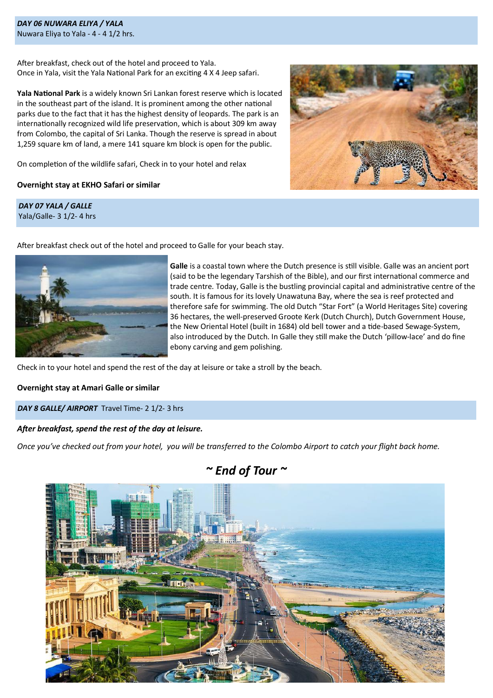*DAY 06 NUWARA ELIYA / YALA*  Nuwara Eliya to Yala - 4 - 4 1/2 hrs.

After breakfast, check out of the hotel and proceed to Yala. Once in Yala, visit the Yala National Park for an exciting 4 X 4 Jeep safari.

**Yala National Park** is a widely known Sri Lankan forest reserve which is located in the southeast part of the island. It is prominent among the other national parks due to the fact that it has the highest density of leopards. The park is an internationally recognized wild life preservation, which is about 309 km away from Colombo, the capital of Sri Lanka. Though the reserve is spread in about 1,259 square km of land, a mere 141 square km block is open for the public.

On completion of the wildlife safari, Check in to your hotel and relax

#### **Overnight stay at EKHO Safari or similar**

*DAY 07 YALA / GALLE*  Yala/Galle- 3 1/2- 4 hrs



After breakfast check out of the hotel and proceed to Galle for your beach stay.



**Galle** is a coastal town where the Dutch presence is still visible. Galle was an ancient port (said to be the legendary Tarshish of the Bible), and our first international commerce and trade centre. Today, Galle is the bustling provincial capital and administrative centre of the south. It is famous for its lovely Unawatuna Bay, where the sea is reef protected and therefore safe for swimming. The old Dutch "Star Fort" (a World Heritages Site) covering 36 hectares, the well-preserved Groote Kerk (Dutch Church), Dutch Government House, the New Oriental Hotel (built in 1684) old bell tower and a tide-based Sewage-System, also introduced by the Dutch. In Galle they still make the Dutch 'pillow-lace' and do fine ebony carving and gem polishing.

Check in to your hotel and spend the rest of the day at leisure or take a stroll by the beach.

**Overnight stay at Amari Galle or similar**

*DAY 8 GALLE/ AIRPORT* Travel Time- 2 1/2- 3 hrs

#### *After breakfast, spend the rest of the day at leisure.*

*Once you've checked out from your hotel, you will be transferred to the Colombo Airport to catch your flight back home.*



*~ End of Tour ~*